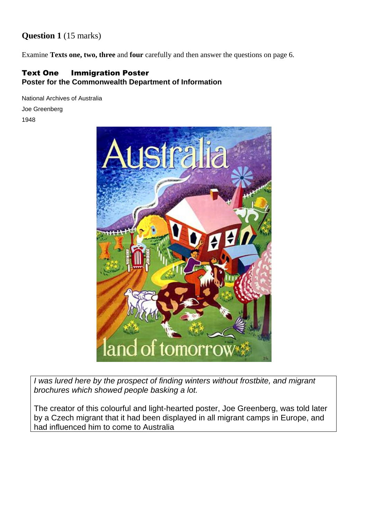#### **Question 1** (15 marks)

Examine **Texts one, two, three** and **four** carefully and then answer the questions on page 6.

#### Text One Immigration Poster **Poster for the Commonwealth Department of Information**

National Archives of Australia Joe Greenberg

1948



*I was lured here by the prospect of finding winters without frostbite, and migrant brochures which showed people basking a lot.*

The creator of this colourful and light-hearted poster, Joe Greenberg, was told later by a Czech migrant that it had been displayed in all migrant camps in Europe, and had influenced him to come to Australia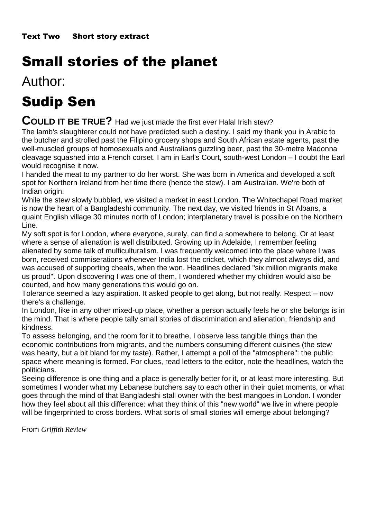# Small stories of the planet

Author:

## Sudip Sen

**COULD IT BE TRUE?** Had we just made the first ever Halal Irish stew?

The lamb's slaughterer could not have predicted such a destiny. I said my thank you in Arabic to the butcher and strolled past the Filipino grocery shops and South African estate agents, past the well-muscled groups of homosexuals and Australians guzzling beer, past the 30-metre Madonna cleavage squashed into a French corset. I am in Earl's Court, south-west London – I doubt the Earl would recognise it now.

I handed the meat to my partner to do her worst. She was born in America and developed a soft spot for Northern Ireland from her time there (hence the stew). I am Australian. We're both of Indian origin.

While the stew slowly bubbled, we visited a market in east London. The Whitechapel Road market is now the heart of a Bangladeshi community. The next day, we visited friends in St Albans, a quaint English village 30 minutes north of London; interplanetary travel is possible on the Northern Line.

My soft spot is for London, where everyone, surely, can find a somewhere to belong. Or at least where a sense of alienation is well distributed. Growing up in Adelaide, I remember feeling alienated by some talk of multiculturalism. I was frequently welcomed into the place where I was born, received commiserations whenever India lost the cricket, which they almost always did, and was accused of supporting cheats, when the won. Headlines declared "six million migrants make us proud". Upon discovering I was one of them, I wondered whether my children would also be counted, and how many generations this would go on.

Tolerance seemed a lazy aspiration. It asked people to get along, but not really. Respect – now there's a challenge.

In London, like in any other mixed-up place, whether a person actually feels he or she belongs is in the mind. That is where people tally small stories of discrimination and alienation, friendship and kindness.

To assess belonging, and the room for it to breathe, I observe less tangible things than the economic contributions from migrants, and the numbers consuming different cuisines (the stew was hearty, but a bit bland for my taste). Rather, I attempt a poll of the "atmosphere": the public space where meaning is formed. For clues, read letters to the editor, note the headlines, watch the politicians.

Seeing difference is one thing and a place is generally better for it, or at least more interesting. But sometimes I wonder what my Lebanese butchers say to each other in their quiet moments, or what goes through the mind of that Bangladeshi stall owner with the best mangoes in London. I wonder how they feel about all this difference: what they think of this "new world" we live in where people will be fingerprinted to cross borders. What sorts of small stories will emerge about belonging?

From *Griffith Review*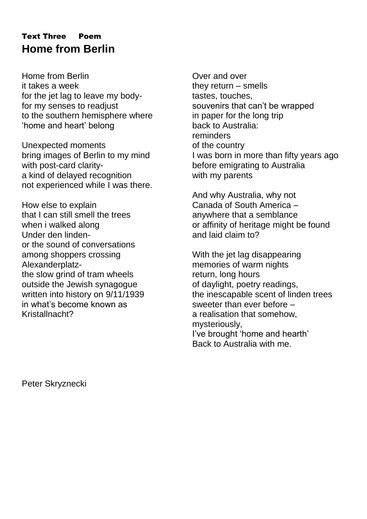### Text Three Poem **Home from Berlin**

Home from Berlin **Example 2018** Over and over it takes a week they return – smells for the jet lag to leave my body-<br>tastes, touches, for my senses to readjust souvenirs that can't be wrapped to the southern hemisphere where in paper for the long trip 'home and heart' belong back to Australia:

Unexpected moments of the country with post-card clarity-<br>
before emigrating to Australia a kind of delayed recognition with my parents not experienced while I was there.

How else to explain Theorem Canada of South America – that I can still smell the trees anywhere that a semblance Under den linden-<br>
and laid claim to? or the sound of conversations among shoppers crossing With the jet lag disappearing Alexanderplatz- memories of warm nights the slow grind of tram wheels return, long hours outside the Jewish synagogue of daylight, poetry readings, in what's become known as sweeter than ever before – Kristallnacht? **a realisation that somehow**,

reminders bring images of Berlin to my mind I was born in more than fifty years ago

And why Australia, why not when i walked along when i walked along

written into history on 9/11/1939 the inescapable scent of linden trees mysteriously, I've brought 'home and hearth' Back to Australia with me.

Peter Skryznecki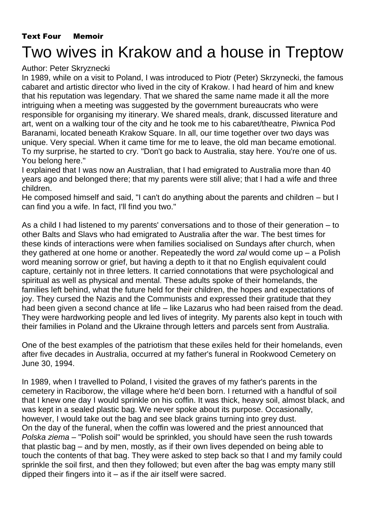#### Text Four Memoir

# Two wives in Krakow and a house in Treptow

Author: Peter Skryznecki

In 1989, while on a visit to Poland, I was introduced to Piotr (Peter) Skrzynecki, the famous cabaret and artistic director who lived in the city of Krakow. I had heard of him and knew that his reputation was legendary. That we shared the same name made it all the more intriguing when a meeting was suggested by the government bureaucrats who were responsible for organising my itinerary. We shared meals, drank, discussed literature and art, went on a walking tour of the city and he took me to his cabaret/theatre, Piwnica Pod Baranami, located beneath Krakow Square. In all, our time together over two days was unique. Very special. When it came time for me to leave, the old man became emotional. To my surprise, he started to cry. "Don't go back to Australia, stay here. You're one of us. You belong here."

I explained that I was now an Australian, that I had emigrated to Australia more than 40 years ago and belonged there; that my parents were still alive; that I had a wife and three children.

He composed himself and said, "I can't do anything about the parents and children – but I can find you a wife. In fact, I'll find you two."

As a child I had listened to my parents' conversations and to those of their generation – to other Balts and Slavs who had emigrated to Australia after the war. The best times for these kinds of interactions were when families socialised on Sundays after church, when they gathered at one home or another. Repeatedly the word *zal* would come up – a Polish word meaning sorrow or grief, but having a depth to it that no English equivalent could capture, certainly not in three letters. It carried connotations that were psychological and spiritual as well as physical and mental. These adults spoke of their homelands, the families left behind, what the future held for their children, the hopes and expectations of joy. They cursed the Nazis and the Communists and expressed their gratitude that they had been given a second chance at life – like Lazarus who had been raised from the dead. They were hardworking people and led lives of integrity. My parents also kept in touch with their families in Poland and the Ukraine through letters and parcels sent from Australia.

One of the best examples of the patriotism that these exiles held for their homelands, even after five decades in Australia, occurred at my father's funeral in Rookwood Cemetery on June 30, 1994.

In 1989, when I travelled to Poland, I visited the graves of my father's parents in the cemetery in Raciborow, the village where he'd been born. I returned with a handful of soil that I knew one day I would sprinkle on his coffin. It was thick, heavy soil, almost black, and was kept in a sealed plastic bag. We never spoke about its purpose. Occasionally, however, I would take out the bag and see black grains turning into grey dust. On the day of the funeral, when the coffin was lowered and the priest announced that *Polska ziema* – "Polish soil" would be sprinkled, you should have seen the rush towards that plastic bag – and by men, mostly, as if their own lives depended on being able to touch the contents of that bag. They were asked to step back so that I and my family could sprinkle the soil first, and then they followed; but even after the bag was empty many still dipped their fingers into it – as if the air itself were sacred.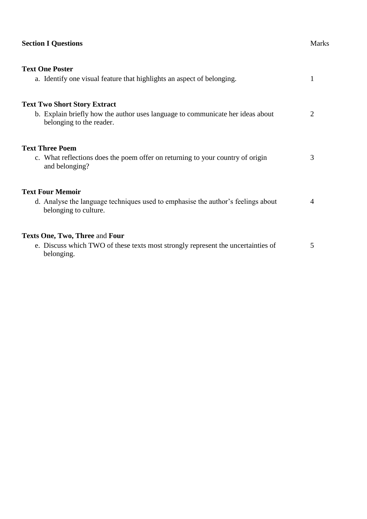#### **Section I Questions** Marks

| <b>Text One Poster</b><br>a. Identify one visual feature that highlights an aspect of belonging.                                                  | 1 |
|---------------------------------------------------------------------------------------------------------------------------------------------------|---|
| <b>Text Two Short Story Extract</b><br>b. Explain briefly how the author uses language to communicate her ideas about<br>belonging to the reader. | 2 |
| <b>Text Three Poem</b><br>c. What reflections does the poem offer on returning to your country of origin<br>and belonging?                        | 3 |
| <b>Text Four Memoir</b><br>d. Analyse the language techniques used to emphasise the author's feelings about<br>belonging to culture.              | 4 |
| Texts One, Two, Three and Four<br>e. Discuss which TWO of these texts most strongly represent the uncertainties of<br>belonging.                  | 5 |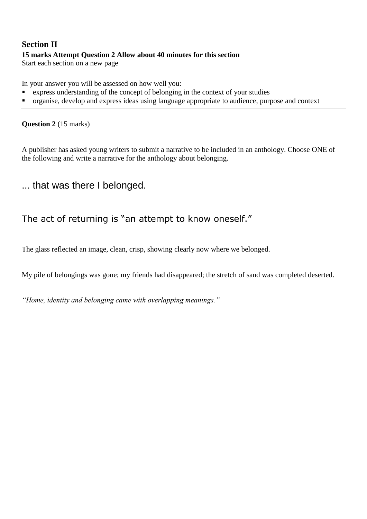#### **Section II 15 marks Attempt Question 2 Allow about 40 minutes for this section** Start each section on a new page

In your answer you will be assessed on how well you:

- express understanding of the concept of belonging in the context of your studies
- organise, develop and express ideas using language appropriate to audience, purpose and context

**Question 2** (15 marks)

A publisher has asked young writers to submit a narrative to be included in an anthology. Choose ONE of the following and write a narrative for the anthology about belonging.

... that was there I belonged.

#### The act of returning is "an attempt to know oneself."

The glass reflected an image, clean, crisp, showing clearly now where we belonged.

My pile of belongings was gone; my friends had disappeared; the stretch of sand was completed deserted.

*"Home, identity and belonging came with overlapping meanings."*